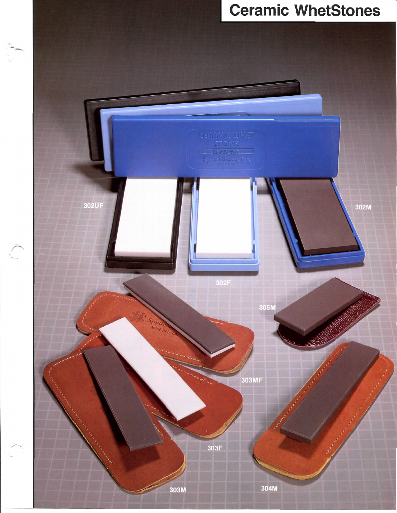